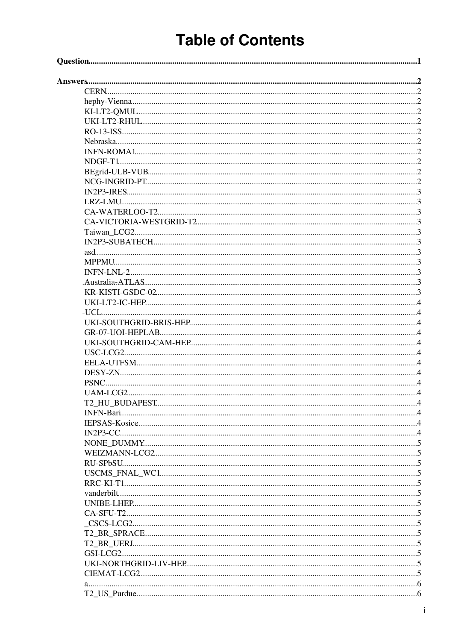# **Table of Contents**

| PSNC. |  |
|-------|--|
|       |  |
|       |  |
|       |  |
|       |  |
|       |  |
|       |  |
|       |  |
|       |  |
|       |  |
|       |  |
|       |  |
|       |  |
|       |  |
|       |  |
|       |  |
|       |  |
|       |  |
|       |  |
|       |  |
|       |  |
|       |  |
|       |  |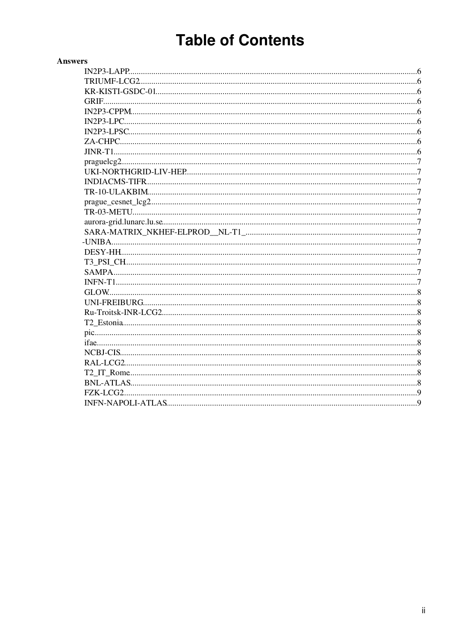# **Table of Contents**

| <b>Answers</b> |  |
|----------------|--|
|                |  |
|                |  |
|                |  |
|                |  |
|                |  |
|                |  |
|                |  |
|                |  |
|                |  |
|                |  |
|                |  |
|                |  |
|                |  |
|                |  |
|                |  |
|                |  |
|                |  |
|                |  |
|                |  |
|                |  |
|                |  |
|                |  |
|                |  |
|                |  |
|                |  |
|                |  |
|                |  |
|                |  |
|                |  |
|                |  |
|                |  |
|                |  |
|                |  |
|                |  |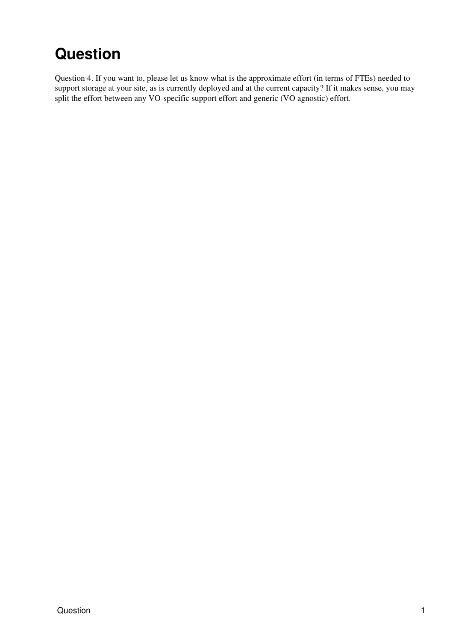# <span id="page-2-0"></span>**Question**

Question 4. If you want to, please let us know what is the approximate effort (in terms of FTEs) needed to support storage at your site, as is currently deployed and at the current capacity? If it makes sense, you may split the effort between any VO-specific support effort and generic (VO agnostic) effort.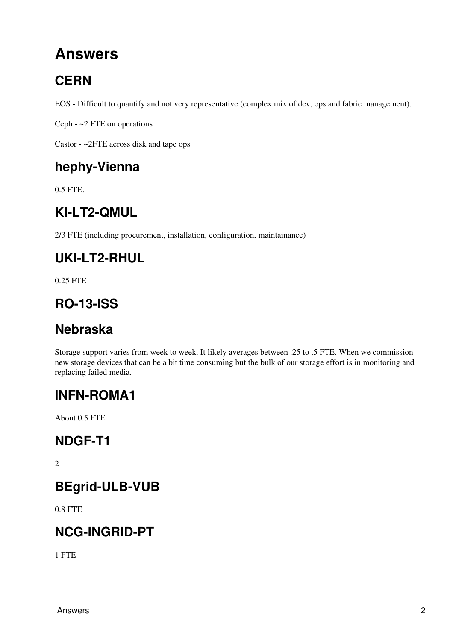# <span id="page-3-0"></span>**Answers**

# <span id="page-3-1"></span>**CERN**

EOS - Difficult to quantify and not very representative (complex mix of dev, ops and fabric management).

Ceph - ~2 FTE on operations

Castor - ~2FTE across disk and tape ops

### <span id="page-3-2"></span>**hephy-Vienna**

0.5 FTE.

## <span id="page-3-3"></span>**KI-LT2-QMUL**

2/3 FTE (including procurement, installation, configuration, maintainance)

### <span id="page-3-4"></span>**UKI-LT2-RHUL**

0.25 FTE

### <span id="page-3-5"></span>**RO-13-ISS**

### <span id="page-3-6"></span>**Nebraska**

Storage support varies from week to week. It likely averages between .25 to .5 FTE. When we commission new storage devices that can be a bit time consuming but the bulk of our storage effort is in monitoring and replacing failed media.

### <span id="page-3-7"></span>**INFN-ROMA1**

About 0.5 FTE

#### <span id="page-3-8"></span>**NDGF-T1**

 $\overline{2}$ 

### <span id="page-3-9"></span>**BEgrid-ULB-VUB**

0.8 FTE

### <span id="page-3-10"></span>**NCG-INGRID-PT**

1 FTE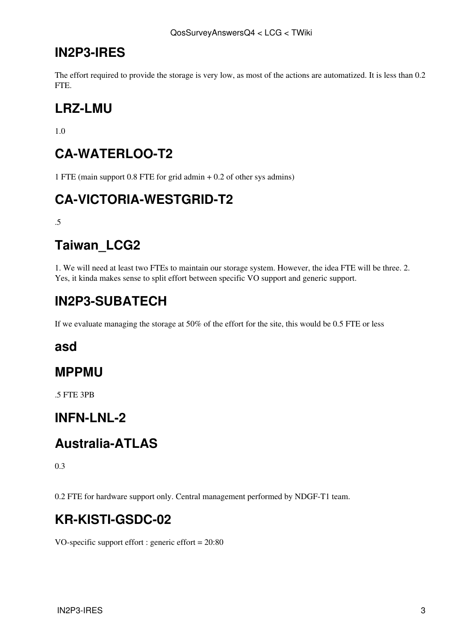#### <span id="page-4-0"></span>**[IN2P3](https://twiki.cern.ch/twiki/bin/view/LCG/IN2P3)-IRES**

The effort required to provide the storage is very low, as most of the actions are automatized. It is less than 0.2 FTE.

### <span id="page-4-1"></span>**LRZ-LMU**

1.0

### <span id="page-4-2"></span>**CA-WATERLOO-T2**

1 FTE (main support 0.8 FTE for grid admin + 0.2 of other sys admins)

### <span id="page-4-3"></span>**CA-VICTORIA-WESTGRID-T2**

.5

## <span id="page-4-4"></span>**Taiwan\_LCG2**

1. We will need at least two FTEs to maintain our storage system. However, the idea FTE will be three. 2. Yes, it kinda makes sense to split effort between specific VO support and generic support.

## <span id="page-4-5"></span>**[IN2P3](https://twiki.cern.ch/twiki/bin/view/LCG/IN2P3)-SUBATECH**

If we evaluate managing the storage at 50% of the effort for the site, this would be 0.5 FTE or less

#### <span id="page-4-6"></span>**asd**

#### <span id="page-4-7"></span>**MPPMU**

.5 FTE 3PB

#### <span id="page-4-8"></span>**INFN-LNL-2**

### <span id="page-4-9"></span>**Australia-ATLAS**

0.3

0.2 FTE for hardware support only. Central management performed by NDGF-T1 team.

### <span id="page-4-10"></span>**KR-KISTI-GSDC-02**

VO-specific support effort : generic effort = 20:80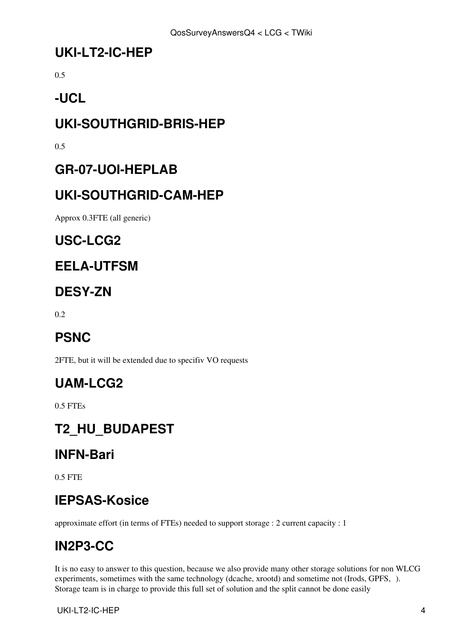#### <span id="page-5-0"></span>**UKI-LT2-IC-HEP**

0.5

## <span id="page-5-1"></span>**-UCL**

## <span id="page-5-2"></span>**UKI-SOUTHGRID-BRIS-HEP**

0.5

### <span id="page-5-3"></span>**GR-07-UOI-HEPLAB**

### <span id="page-5-4"></span>**UKI-SOUTHGRID-CAM-HEP**

Approx 0.3FTE (all generic)

### <span id="page-5-5"></span>**USC-LCG2**

### <span id="page-5-6"></span>**EELA-UTFSM**

### <span id="page-5-7"></span>**DESY-ZN**

0.2

# <span id="page-5-8"></span>**PSNC**

2FTE, but it will be extended due to specifiv VO requests

# <span id="page-5-9"></span>**UAM-LCG2**

0.5 FTEs

# <span id="page-5-10"></span>**T2\_HU\_BUDAPEST**

# <span id="page-5-11"></span>**INFN-Bari**

0.5 FTE

# <span id="page-5-12"></span>**IEPSAS-Kosice**

approximate effort (in terms of FTEs) needed to support storage : 2 current capacity : 1

# <span id="page-5-13"></span>**[IN2P3](https://twiki.cern.ch/twiki/bin/view/LCG/IN2P3)-CC**

It is no easy to answer to this question, because we also provide many other storage solutions for non WLCG experiments, sometimes with the same technology (dcache, xrootd) and sometime not (Irods, GPFS,). Storage team is in charge to provide this full set of solution and the split cannot be done easily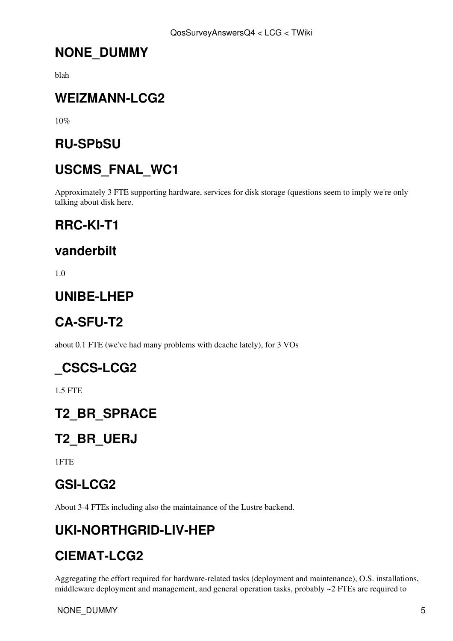### <span id="page-6-0"></span>**NONE\_DUMMY**

blah

### <span id="page-6-1"></span>**WEIZMANN-LCG2**

10%

### <span id="page-6-2"></span>**RU-SPbSU**

# <span id="page-6-3"></span>**USCMS\_FNAL\_WC1**

Approximately 3 FTE supporting hardware, services for disk storage (questions seem to imply we're only talking about disk here.

### <span id="page-6-4"></span>**RRC-KI-T1**

#### <span id="page-6-5"></span>**vanderbilt**

1.0

#### <span id="page-6-6"></span>**UNIBE-LHEP**

# <span id="page-6-7"></span>**CA-SFU-T2**

about 0.1 FTE (we've had many problems with dcache lately), for 3 VOs

### <span id="page-6-8"></span>**\_CSCS-LCG2**

1.5 FTE

### <span id="page-6-9"></span>**T2\_BR\_SPRACE**

# <span id="page-6-10"></span>**T2\_BR\_UERJ**

1FTE

### <span id="page-6-11"></span>**GSI-LCG2**

About 3-4 FTEs including also the maintainance of the Lustre backend.

### <span id="page-6-12"></span>**UKI-NORTHGRID-LIV-HEP**

### <span id="page-6-13"></span>**CIEMAT-LCG2**

Aggregating the effort required for hardware-related tasks (deployment and maintenance), O.S. installations, middleware deployment and management, and general operation tasks, probably ~2 FTEs are required to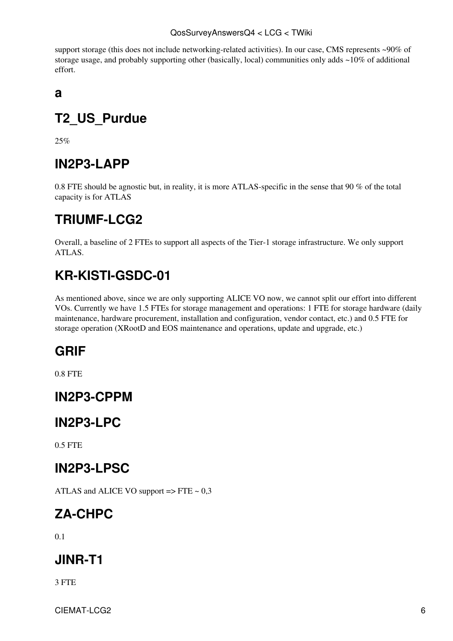support storage (this does not include networking-related activities). In our case, CMS represents ~90% of storage usage, and probably supporting other (basically, local) communities only adds ~10% of additional effort.

<span id="page-7-0"></span>**a**

# <span id="page-7-1"></span>**T2\_US\_Purdue**

25%

# <span id="page-7-2"></span>**[IN2P3](https://twiki.cern.ch/twiki/bin/view/LCG/IN2P3)-LAPP**

0.8 FTE should be agnostic but, in reality, it is more ATLAS-specific in the sense that 90 % of the total capacity is for ATLAS

## <span id="page-7-3"></span>**TRIUMF-LCG2**

Overall, a baseline of 2 FTEs to support all aspects of the Tier-1 storage infrastructure. We only support ATLAS.

# <span id="page-7-4"></span>**KR-KISTI-GSDC-01**

As mentioned above, since we are only supporting ALICE VO now, we cannot split our effort into different VOs. Currently we have 1.5 FTEs for storage management and operations: 1 FTE for storage hardware (daily maintenance, hardware procurement, installation and configuration, vendor contact, etc.) and 0.5 FTE for storage operation [\(XRootD](https://twiki.cern.ch/twiki/bin/edit/LCG/XRootD?topicparent=LCG.QosSurveyAnswersQ4;nowysiwyg=1) and EOS maintenance and operations, update and upgrade, etc.)

# <span id="page-7-5"></span>**GRIF**

0.8 FTE

### <span id="page-7-6"></span>**[IN2P3](https://twiki.cern.ch/twiki/bin/view/LCG/IN2P3)-CPPM**

#### <span id="page-7-7"></span>**[IN2P3](https://twiki.cern.ch/twiki/bin/view/LCG/IN2P3)-LPC**

0.5 FTE

### <span id="page-7-8"></span>**[IN2P3](https://twiki.cern.ch/twiki/bin/view/LCG/IN2P3)-LPSC**

ATLAS and ALICE VO support  $\Rightarrow$  FTE  $\sim 0.3$ 

# <span id="page-7-9"></span>**ZA-CHPC**

0.1

# <span id="page-7-10"></span>**JINR-T1**

3 FTE

CIEMAT-LCG2 6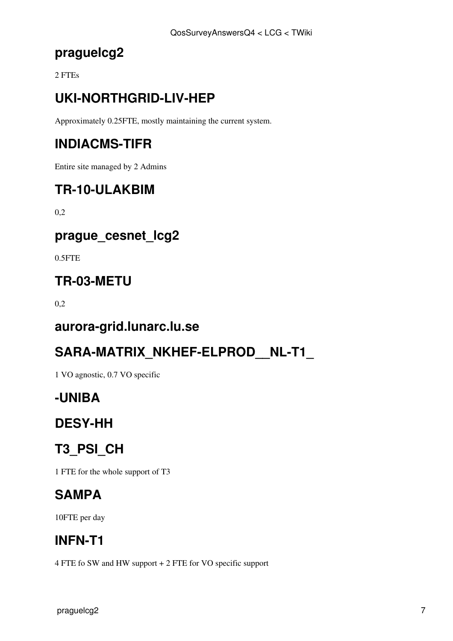### <span id="page-8-0"></span>**praguelcg2**

2 FTEs

# <span id="page-8-1"></span>**UKI-NORTHGRID-LIV-HEP**

Approximately 0.25FTE, mostly maintaining the current system.

# <span id="page-8-2"></span>**INDIACMS-TIFR**

Entire site managed by 2 Admins

# <span id="page-8-3"></span>**TR-10-ULAKBIM**

0,2

### <span id="page-8-4"></span>**prague\_cesnet\_lcg2**

0.5FTE

### <span id="page-8-5"></span>**TR-03-METU**

0,2

#### <span id="page-8-6"></span>**aurora-grid.lunarc.lu.se**

### <span id="page-8-7"></span>**SARA-MATRIX\_NKHEF-ELPROD\_\_NL-T1\_**

1 VO agnostic, 0.7 VO specific

### <span id="page-8-8"></span>**-UNIBA**

# <span id="page-8-9"></span>**DESY-HH**

# <span id="page-8-10"></span>**T3\_PSI\_CH**

1 FTE for the whole support of T3

### <span id="page-8-11"></span>**SAMPA**

10FTE per day

### <span id="page-8-12"></span>**INFN-T1**

4 FTE fo SW and HW support + 2 FTE for VO specific support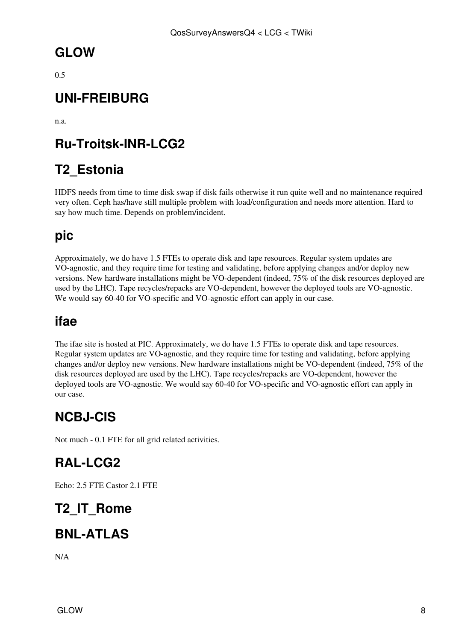### <span id="page-9-0"></span>**GLOW**

0.5

### <span id="page-9-1"></span>**UNI-FREIBURG**

n.a.

## <span id="page-9-2"></span>**Ru-Troitsk-INR-LCG2**

## <span id="page-9-3"></span>**T2\_Estonia**

HDFS needs from time to time disk swap if disk fails otherwise it run quite well and no maintenance required very often. Ceph has/have still multiple problem with load/configuration and needs more attention. Hard to say how much time. Depends on problem/incident.

### <span id="page-9-4"></span>**pic**

Approximately, we do have 1.5 FTEs to operate disk and tape resources. Regular system updates are VO-agnostic, and they require time for testing and validating, before applying changes and/or deploy new versions. New hardware installations might be VO-dependent (indeed, 75% of the disk resources deployed are used by the LHC). Tape recycles/repacks are VO-dependent, however the deployed tools are VO-agnostic. We would say 60-40 for VO-specific and VO-agnostic effort can apply in our case.

#### <span id="page-9-5"></span>**ifae**

The ifae site is hosted at PIC. Approximately, we do have 1.5 FTEs to operate disk and tape resources. Regular system updates are VO-agnostic, and they require time for testing and validating, before applying changes and/or deploy new versions. New hardware installations might be VO-dependent (indeed, 75% of the disk resources deployed are used by the LHC). Tape recycles/repacks are VO-dependent, however the deployed tools are VO-agnostic. We would say 60-40 for VO-specific and VO-agnostic effort can apply in our case.

### <span id="page-9-6"></span>**NCBJ-CIS**

Not much - 0.1 FTE for all grid related activities.

### <span id="page-9-7"></span>**[RAL-](https://twiki.cern.ch/twiki/bin/view/LCG/RAL)LCG2**

Echo: 2.5 FTE Castor 2.1 FTE

# <span id="page-9-8"></span>**T2\_IT\_Rome**

# <span id="page-9-9"></span>**BNL-ATLAS**

N/A